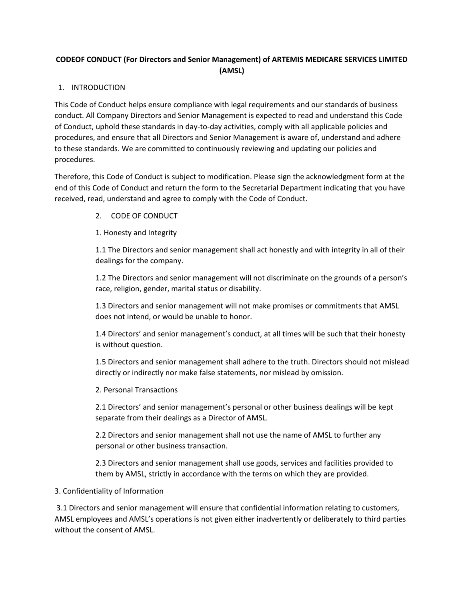# **CODEOF CONDUCT (For Directors and Senior Management) of ARTEMIS MEDICARE SERVICES LIMITED (AMSL)**

## 1. INTRODUCTION

This Code of Conduct helps ensure compliance with legal requirements and our standards of business conduct. All Company Directors and Senior Management is expected to read and understand this Code of Conduct, uphold these standards in day‐to‐day activities, comply with all applicable policies and procedures, and ensure that all Directors and Senior Management is aware of, understand and adhere to these standards. We are committed to continuously reviewing and updating our policies and procedures.

Therefore, this Code of Conduct is subject to modification. Please sign the acknowledgment form at the end of this Code of Conduct and return the form to the Secretarial Department indicating that you have received, read, understand and agree to comply with the Code of Conduct.

2. CODE OF CONDUCT

1. Honesty and Integrity

1.1 The Directors and senior management shall act honestly and with integrity in all of their dealings for the company.

1.2 The Directors and senior management will not discriminate on the grounds of a person's race, religion, gender, marital status or disability.

1.3 Directors and senior management will not make promises or commitments that AMSL does not intend, or would be unable to honor.

1.4 Directors' and senior management's conduct, at all times will be such that their honesty is without question.

1.5 Directors and senior management shall adhere to the truth. Directors should not mislead directly or indirectly nor make false statements, nor mislead by omission.

2. Personal Transactions

2.1 Directors' and senior management's personal or other business dealings will be kept separate from their dealings as a Director of AMSL.

2.2 Directors and senior management shall not use the name of AMSL to further any personal or other business transaction.

2.3 Directors and senior management shall use goods, services and facilities provided to them by AMSL, strictly in accordance with the terms on which they are provided.

### 3. Confidentiality of Information

3.1 Directors and senior management will ensure that confidential information relating to customers, AMSL employees and AMSL's operations is not given either inadvertently or deliberately to third parties without the consent of AMSL.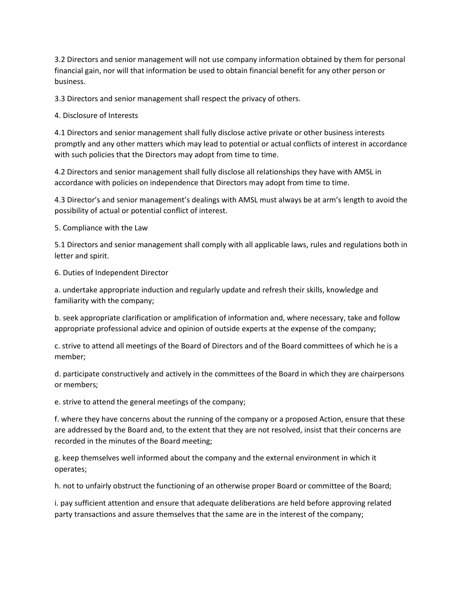3.2 Directors and senior management will not use company information obtained by them for personal financial gain, nor will that information be used to obtain financial benefit for any other person or business.

3.3 Directors and senior management shall respect the privacy of others.

4. Disclosure of Interests

4.1 Directors and senior management shall fully disclose active private or other business interests promptly and any other matters which may lead to potential or actual conflicts of interest in accordance with such policies that the Directors may adopt from time to time.

4.2 Directors and senior management shall fully disclose all relationships they have with AMSL in accordance with policies on independence that Directors may adopt from time to time.

4.3 Director's and senior management's dealings with AMSL must always be at arm's length to avoid the possibility of actual or potential conflict of interest.

5. Compliance with the Law

5.1 Directors and senior management shall comply with all applicable laws, rules and regulations both in letter and spirit.

6. Duties of Independent Director

a. undertake appropriate induction and regularly update and refresh their skills, knowledge and familiarity with the company;

b. seek appropriate clarification or amplification of information and, where necessary, take and follow appropriate professional advice and opinion of outside experts at the expense of the company;

c. strive to attend all meetings of the Board of Directors and of the Board committees of which he is a member;

d. participate constructively and actively in the committees of the Board in which they are chairpersons or members;

e. strive to attend the general meetings of the company;

f. where they have concerns about the running of the company or a proposed Action, ensure that these are addressed by the Board and, to the extent that they are not resolved, insist that their concerns are recorded in the minutes of the Board meeting;

g. keep themselves well informed about the company and the external environment in which it operates;

h. not to unfairly obstruct the functioning of an otherwise proper Board or committee of the Board;

i. pay sufficient attention and ensure that adequate deliberations are held before approving related party transactions and assure themselves that the same are in the interest of the company;